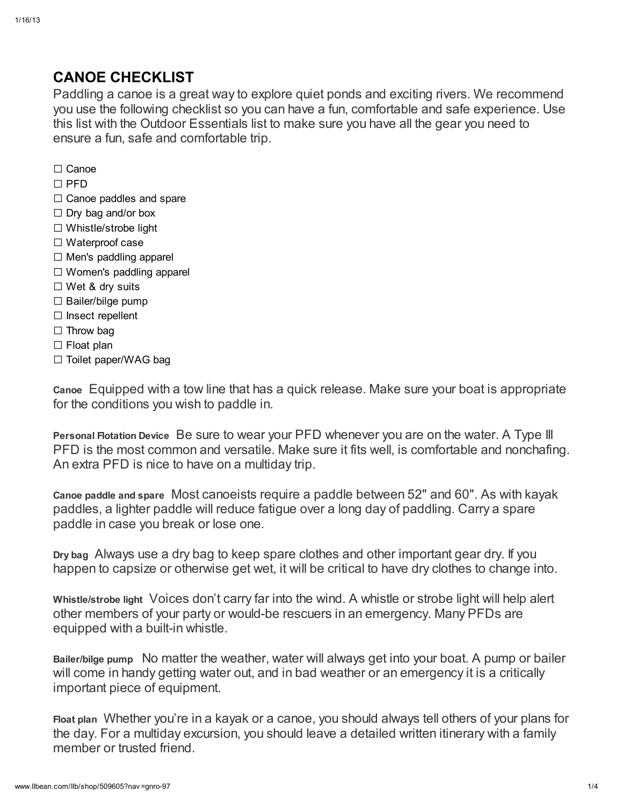## CANOE CHECKLIST

Paddling a canoe is a great way to explore quiet ponds and exciting rivers. We recommend you use the following checklist so you can have a fun, comfortable and safe experience. Use this list with the Outdoor Essentials list to make sure you have all the gear you need to ensure a fun, safe and comfortable trip.

- □ Canoe
- $\Box$  PFD
- $\Box$  Canoe paddles and spare
- □ Dry bag and/or box
- □ Whistle/strobe light
- □ Waterproof case
- □ Men's paddling apparel
- □ Women's paddling apparel
- □ Wet & dry suits
- □ Bailer/bilge pump
- □ Insect repellent
- □ Throw bag
- □ Float plan
- □ Toilet paper/WAG bag

Canoe Equipped with a tow line that has a quick release. Make sure your boat is appropriate for the conditions you wish to paddle in.

Personal Flotation Device Be sure to wear your PFD whenever you are on the water. A Type III PFD is the most common and versatile. Make sure it fits well, is comfortable and nonchafing. An extra PFD is nice to have on a multiday trip.

Canoe paddle and spare Most canoeists require a paddle between 52" and 60". As with kayak paddles, a lighter paddle will reduce fatigue over a long day of paddling. Carry a spare paddle in case you break or lose one.

Dry bag Always use a dry bag to keep spare clothes and other important gear dry. If you happen to capsize or otherwise get wet, it will be critical to have dry clothes to change into.

Whistle/strobe light Voices don't carry far into the wind. A whistle or strobe light will help alert other members of your party or would-be rescuers in an emergency. Many PFDs are equipped with a built-in whistle.

Bailer/bilge pump No matter the weather, water will always get into your boat. A pump or bailer will come in handy getting water out, and in bad weather or an emergency it is a critically important piece of equipment.

Float plan Whether you're in a kayak or a canoe, you should always tell others of your plans for the day. For a multiday excursion, you should leave a detailed written itinerary with a family member or trusted friend.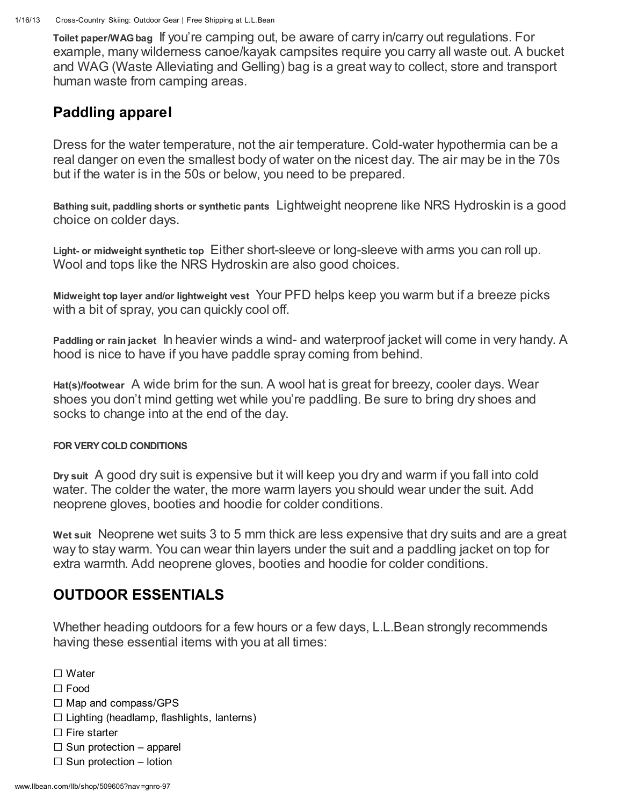Toilet paper/WAGbag If you're camping out, be aware of carry in/carry out regulations. For example, many wilderness canoe/kayak campsites require you carry all waste out. A bucket and WAG (Waste Alleviating and Gelling) bag is a great way to collect, store and transport human waste from camping areas.

## Paddling apparel

Dress for the water temperature, not the air temperature. Cold-water hypothermia can be a real danger on even the smallest body of water on the nicest day. The air may be in the 70s but if the water is in the 50s or below, you need to be prepared.

Bathing suit, paddling shorts or synthetic pants Lightweight neoprene like NRS Hydroskin is a good choice on colder days.

Light- or midweight synthetic top Either short-sleeve or long-sleeve with arms you can roll up. Wool and tops like the NRS Hydroskin are also good choices.

Midweight top layer and/or lightweight vest Your PFD helps keep you warm but if a breeze picks with a bit of spray, you can quickly cool off.

Paddling or rain jacket In heavier winds a wind- and waterproof jacket will come in very handy. A hood is nice to have if you have paddle spray coming from behind.

Hat(s)/footwear A wide brim for the sun. A wool hat is great for breezy, cooler days. Wear shoes you don't mind getting wet while you're paddling. Be sure to bring dry shoes and socks to change into at the end of the day.

## FOR VERY COLD CONDITIONS

Dry suit A good dry suit is expensive but it will keep you dry and warm if you fall into cold water. The colder the water, the more warm layers you should wear under the suit. Add neoprene gloves, booties and hoodie for colder conditions.

Wet suit Neoprene wet suits 3 to 5 mm thick are less expensive that dry suits and are a great way to stay warm. You can wear thin layers under the suit and a paddling jacket on top for extra warmth. Add neoprene gloves, booties and hoodie for colder conditions.

## OUTDOOR ESSENTIALS

Whether heading outdoors for a few hours or a few days, L.L.Bean strongly recommends having these essential items with you at all times:

□ Water

- □ Food
- □ Map and compass/GPS
- $\square$  Lighting (headlamp, flashlights, lanterns)
- $\square$  Fire starter
- $\square$  Sun protection apparel
- $\Box$  Sun protection lotion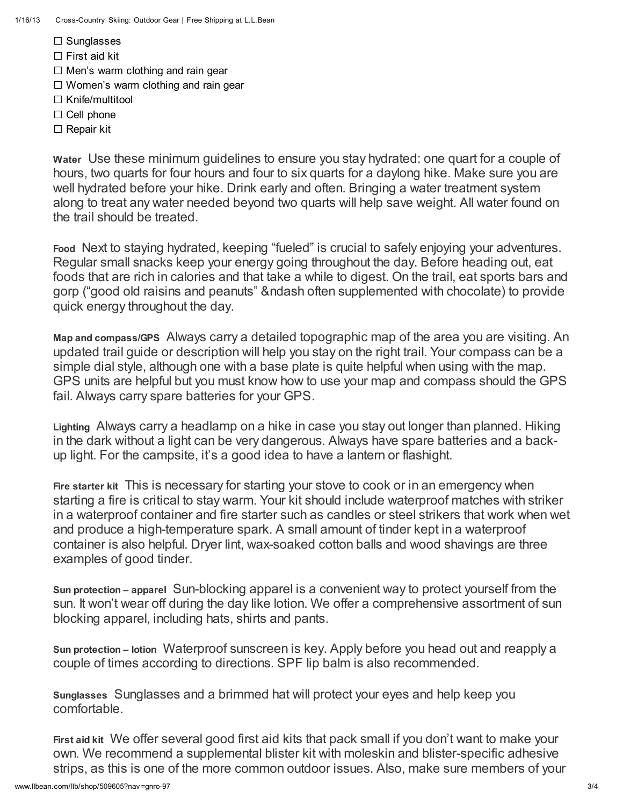- □ Sunglasses
- □ First aid kit
- $\square$  Men's warm clothing and rain gear
- $\square$  Women's warm clothing and rain gear
- □ Knife/multitool
- □ Cell phone
- □ Repair kit

Water Use these minimum guidelines to ensure you stay hydrated: one quart for a couple of hours, two quarts for four hours and four to six quarts for a daylong hike. Make sure you are well hydrated before your hike. Drink early and often. Bringing a water treatment system along to treat any water needed beyond two quarts will help save weight. All water found on the trail should be treated.

Food Next to staying hydrated, keeping "fueled" is crucial to safely enjoying your adventures. Regular small snacks keep your energy going throughout the day. Before heading out, eat foods that are rich in calories and that take a while to digest. On the trail, eat sports bars and gorp ("good old raisins and peanuts" &ndash often supplemented with chocolate) to provide quick energy throughout the day.

Map and compass/GPS Always carry a detailed topographic map of the area you are visiting. An updated trail guide or description will help you stay on the right trail. Your compass can be a simple dial style, although one with a base plate is quite helpful when using with the map. GPS units are helpful but you must know how to use your map and compass should the GPS fail. Always carry spare batteries for your GPS.

Lighting Always carry a headlamp on a hike in case you stay out longer than planned. Hiking in the dark without a light can be very dangerous. Always have spare batteries and a backup light. For the campsite, it's a good idea to have a lantern or flashight.

Fire starter kit This is necessary for starting your stove to cook or in an emergency when starting a fire is critical to stay warm. Your kit should include waterproof matches with striker in a waterproof container and fire starter such as candles or steel strikers that work when wet and produce a high-temperature spark. A small amount of tinder kept in a waterproof container is also helpful. Dryer lint, wax-soaked cotton balls and wood shavings are three examples of good tinder.

Sun protection – apparel Sun-blocking apparel is a convenient way to protect yourself from the sun. It won't wear off during the day like lotion. We offer a comprehensive assortment of sun blocking apparel, including hats, shirts and pants.

Sun protection – lotion Waterproof sunscreen is key. Apply before you head out and reapply a couple of times according to directions. SPF lip balm is also recommended.

Sunglasses Sunglasses and a brimmed hat will protect your eyes and help keep you comfortable.

First aid kit We offer several good first aid kits that pack small if you don't want to make your own. We recommend a supplemental blister kit with moleskin and blister-specific adhesive strips, as this is one of the more common outdoor issues. Also, make sure members of your